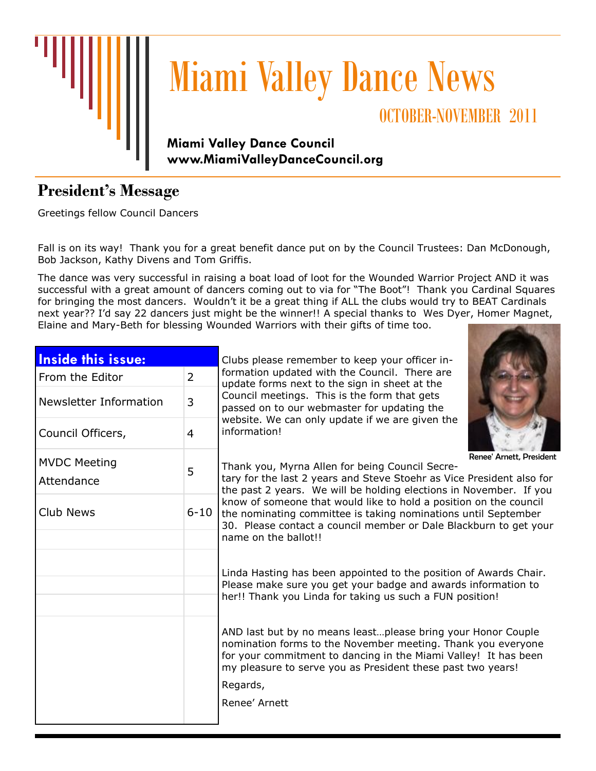

# Miami Valley Dance News

## OCTOBER-NOVEMBER 2011

#### **Miami Valley Dance Council [www.MiamiValleyDanceCouncil.org](http://www.miamivalleydancecouncil.org)**

## **President's Message**

Greetings fellow Council Dancers

Fall is on its way! Thank you for a great benefit dance put on by the Council Trustees: Dan McDonough, Bob Jackson, Kathy Divens and Tom Griffis.

The dance was very successful in raising a boat load of loot for the Wounded Warrior Project AND it was successful with a great amount of dancers coming out to via for "The Boot"! Thank you Cardinal Squares for bringing the most dancers. Wouldn't it be a great thing if ALL the clubs would try to BEAT Cardinals next year?? I'd say 22 dancers just might be the winner!! A special thanks to Wes Dyer, Homer Magnet, Elaine and Mary-Beth for blessing Wounded Warriors with their gifts of time too.

| <b>Inside this issue:</b> |                | Clubs please remember to keep your officer in-                                                                                                                                                                                                                 |  |  |  |
|---------------------------|----------------|----------------------------------------------------------------------------------------------------------------------------------------------------------------------------------------------------------------------------------------------------------------|--|--|--|
| From the Editor           | $\overline{2}$ | formation updated with the Council. There are<br>update forms next to the sign in sheet at the<br>Council meetings. This is the form that gets<br>passed on to our webmaster for updating the                                                                  |  |  |  |
| Newsletter Information    | 3              |                                                                                                                                                                                                                                                                |  |  |  |
| Council Officers,         | $\overline{4}$ | website. We can only update if we are given the<br>information!                                                                                                                                                                                                |  |  |  |
| <b>MVDC Meeting</b>       |                | Renee' Arnett, President<br>Thank you, Myrna Allen for being Council Secre-                                                                                                                                                                                    |  |  |  |
| Attendance                | 5              | tary for the last 2 years and Steve Stoehr as Vice President also for                                                                                                                                                                                          |  |  |  |
|                           |                | the past 2 years. We will be holding elections in November. If you<br>know of someone that would like to hold a position on the council                                                                                                                        |  |  |  |
| <b>Club News</b>          | $6 - 10$       | the nominating committee is taking nominations until September<br>30. Please contact a council member or Dale Blackburn to get your                                                                                                                            |  |  |  |
|                           |                | name on the ballot!!                                                                                                                                                                                                                                           |  |  |  |
|                           |                | Linda Hasting has been appointed to the position of Awards Chair.<br>Please make sure you get your badge and awards information to<br>her!! Thank you Linda for taking us such a FUN position!                                                                 |  |  |  |
|                           |                | AND last but by no means leastplease bring your Honor Couple<br>nomination forms to the November meeting. Thank you everyone<br>for your commitment to dancing in the Miami Valley! It has been<br>my pleasure to serve you as President these past two years! |  |  |  |
|                           |                | Regards,                                                                                                                                                                                                                                                       |  |  |  |
|                           |                | Renee' Arnett                                                                                                                                                                                                                                                  |  |  |  |
|                           |                |                                                                                                                                                                                                                                                                |  |  |  |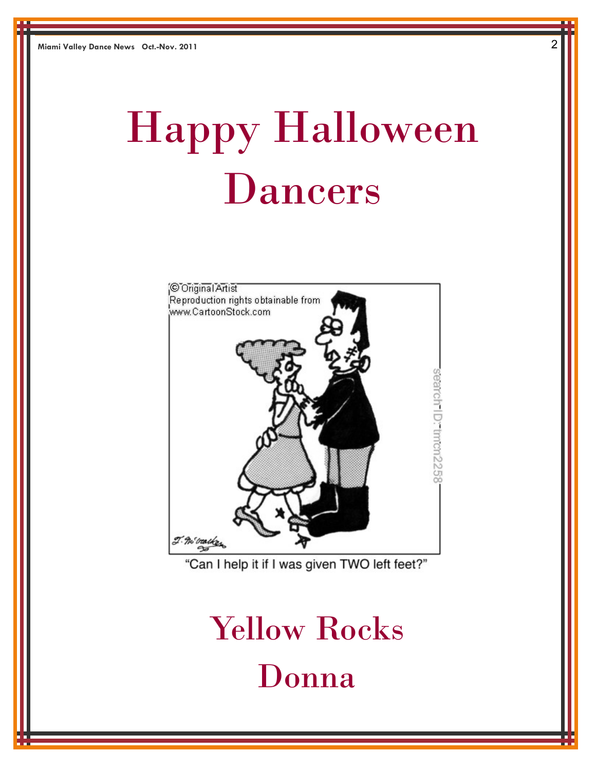# Happy Halloween Dancers



"Can I help it if I was given TWO left feet?"

## Yellow Rocks Donna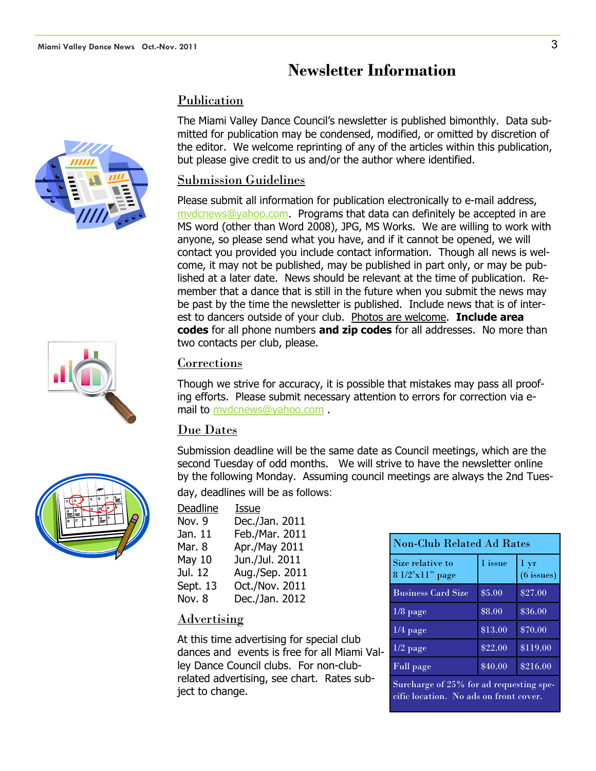### **Newsletter Information**

#### Publication

The Miami Valley Dance Council's newsletter is published bimonthly. Data submitted for publication may be condensed, modified, or omitted by discretion of the editor. We welcome reprinting of any of the articles within this publication, but please give credit to us and/or the author where identified.

#### Submission Guidelines

Please submit all information for publication electronically to e-mail address, [mvdcnews@yahoo.com.](mailto:mvdcnews@yahoo.com) Programs that data can definitely be accepted in are MS word (other than Word 2008), JPG, MS Works. We are willing to work with anyone, so please send what you have, and if it cannot be opened, we will contact you provided you include contact information. Though all news is welcome, it may not be published, may be published in part only, or may be published at a later date. News should be relevant at the time of publication. Remember that a dance that is still in the future when you submit the news may be past by the time the newsletter is published. Include news that is of interest to dancers outside of your club. Photos are welcome. **Include area codes** for all phone numbers **and zip codes** for all addresses. No more than two contacts per club, please.

#### Corrections

Though we strive for accuracy, it is possible that mistakes may pass all proofing efforts. Please submit necessary attention to errors for correction via email to [mvdcnews@yahoo.com](mailto:mvdcnews@yahoo.com) .

#### Due Dates

Submission deadline will be the same date as Council meetings, which are the second Tuesday of odd months. We will strive to have the newsletter online by the following Monday. Assuming council meetings are always the 2nd Tuesday, deadlines will be as follows:

| Deadline | Issue          |
|----------|----------------|
| Nov. 9   | Dec./Jan. 2011 |
| Jan. 11  | Feb./Mar. 2011 |
| Mar. 8   | Apr./May 2011  |
| May 10   | Jun./Jul. 2011 |
| Jul. 12  | Aug./Sep. 2011 |
| Sept. 13 | Oct./Nov. 2011 |
| Nov. 8   | Dec./Jan. 2012 |

#### Advertising

At this time advertising for special club dances and events is free for all Miami Valley Dance Council clubs. For non-clubrelated advertising, see chart. Rates subject to change.

| <b>Non-Club Related Ad Rates</b>     |         |                           |  |
|--------------------------------------|---------|---------------------------|--|
| Size relative to<br>$81/2'x11"$ page | 1 issue | $1 \, yr$<br>$(6$ issues) |  |
| <b>Business Card Size</b>            | \$5.00  | \$27.00                   |  |
| $1/8$ page                           | \$8.00  | \$36.00                   |  |
| $1/4$ page                           | \$13.00 | \$70.00                   |  |
| $1/2$ page                           | \$22.00 | \$119.00                  |  |
| Full page                            | \$40.00 | \$216.00                  |  |

Surcharge of 25% for ad requesting specific location. No ads on front cover.





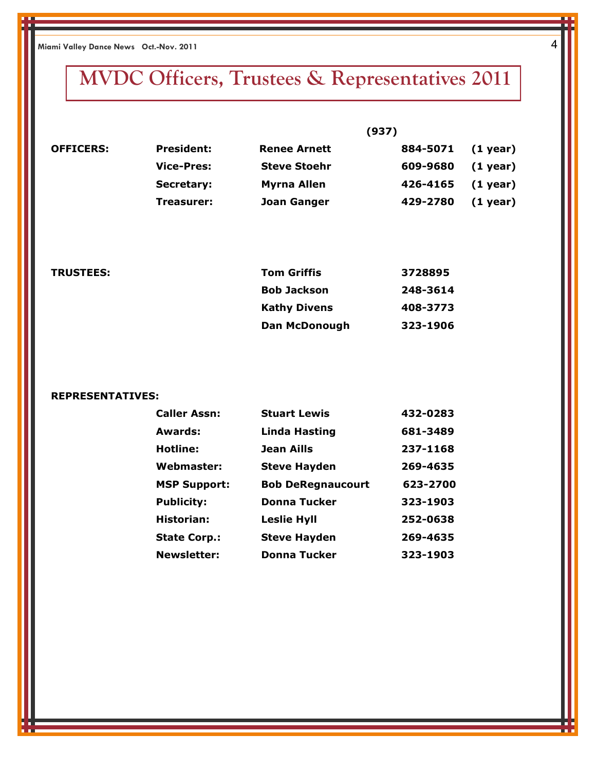**Miami Valley Dance News Oct.-Nov. 2011** 4

## **MVDC Officers, Trustees & Representatives 2011**

| <b>OFFICERS:</b> |                   |                     |          |            |
|------------------|-------------------|---------------------|----------|------------|
|                  | <b>President:</b> | <b>Renee Arnett</b> | 884-5071 | $(1$ year) |
|                  | <b>Vice-Pres:</b> | <b>Steve Stoehr</b> | 609-9680 | $(1$ year) |
|                  | Secretary:        | <b>Myrna Allen</b>  | 426-4165 | $(1$ year) |
|                  | Treasurer:        | <b>Joan Ganger</b>  | 429-2780 | $(1$ year) |

| <b>TRUSTEES:</b> | <b>Tom Griffis</b>  | 3728895  |
|------------------|---------------------|----------|
|                  | <b>Bob Jackson</b>  | 248-3614 |
|                  | <b>Kathy Divens</b> | 408-3773 |
|                  | Dan McDonough       | 323-1906 |

#### **REPRESENTATIVES:**

| <b>Caller Assn:</b> | <b>Stuart Lewis</b>      | 432-0283 |
|---------------------|--------------------------|----------|
| Awards:             | <b>Linda Hasting</b>     | 681-3489 |
| Hotline:            | Jean Aills               | 237-1168 |
| Webmaster:          | <b>Steve Hayden</b>      | 269-4635 |
| <b>MSP Support:</b> | <b>Bob DeRegnaucourt</b> | 623-2700 |
| <b>Publicity:</b>   | <b>Donna Tucker</b>      | 323-1903 |
| Historian:          | <b>Leslie Hyll</b>       | 252-0638 |
| <b>State Corp.:</b> | <b>Steve Hayden</b>      | 269-4635 |
| <b>Newsletter:</b>  | <b>Donna Tucker</b>      | 323-1903 |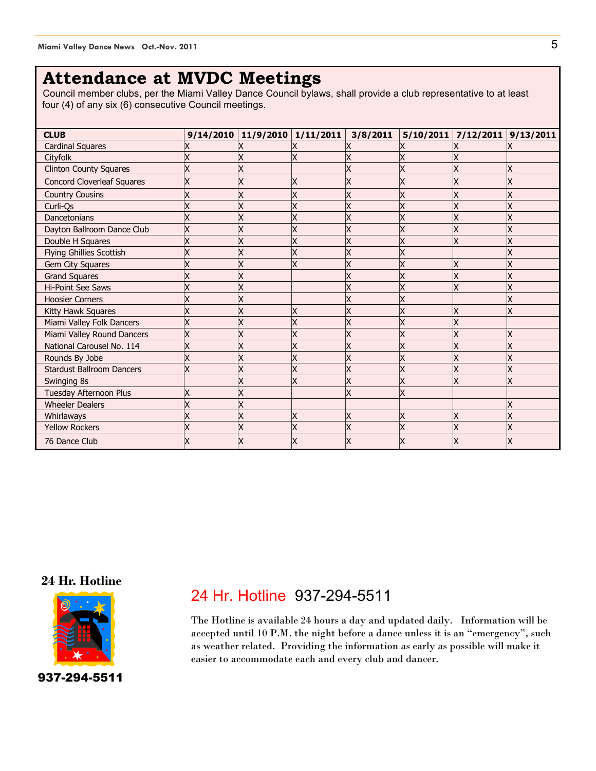## **Attendance at MVDC Meetings**

Council member clubs, per the Miami Valley Dance Council bylaws, shall provide a club representative to at least four (4) of any six (6) consecutive Council meetings.

| <b>CLUB</b>                       | $9/14/2010$ 11/9/2010 1/11/2011 |   | 3/8/2011 | 5/10/2011 | 7/12/2011 | 9/13/2011 |
|-----------------------------------|---------------------------------|---|----------|-----------|-----------|-----------|
| <b>Cardinal Squares</b>           |                                 |   |          |           |           |           |
| Cityfolk                          |                                 |   |          |           |           |           |
| <b>Clinton County Squares</b>     |                                 |   |          |           |           |           |
| <b>Concord Cloverleaf Squares</b> |                                 |   |          |           |           |           |
| <b>Country Cousins</b>            |                                 |   |          |           |           |           |
| Curli-Qs                          |                                 |   |          |           | X         |           |
| Dancetonians                      |                                 |   |          |           | X         |           |
| Dayton Ballroom Dance Club        |                                 |   |          | X         | X         |           |
| Double H Squares                  |                                 |   |          | X         | X         | х         |
| Flying Ghillies Scottish          |                                 |   |          |           |           |           |
| Gem City Squares                  |                                 |   |          |           |           |           |
| <b>Grand Squares</b>              |                                 |   |          | Χ         | X         |           |
| <b>Hi-Point See Saws</b>          |                                 |   |          |           |           |           |
| <b>Hoosier Corners</b>            |                                 |   |          |           |           |           |
| Kitty Hawk Squares                |                                 |   |          | X         | X         |           |
| Miami Valley Folk Dancers         |                                 |   |          |           |           |           |
| Miami Valley Round Dancers        |                                 |   |          |           |           | x         |
| National Carousel No. 114         |                                 |   |          | X         | X         |           |
| Rounds By Jobe                    |                                 |   |          | Χ         | X         | х         |
| <b>Stardust Ballroom Dancers</b>  |                                 |   |          |           | X         |           |
| Swinging 8s                       |                                 |   | x        | X         | X         | χ         |
| <b>Tuesday Afternoon Plus</b>     |                                 |   | Χ        | X         |           |           |
| <b>Wheeler Dealers</b>            |                                 |   |          |           |           |           |
| Whirlaways                        |                                 | X | Χ        | X         | X         | х         |
| <b>Yellow Rockers</b>             |                                 |   |          |           |           |           |
| 76 Dance Club                     |                                 |   |          |           |           |           |

#### **24 Hr. Hotline**



937-294-5511

### 24 Hr. Hotline 937-294-5511

The Hotline is available 24 hours a day and updated daily. Information will be accepted until 10 P.M. the night before a dance unless it is an "emergency", such as weather related. Providing the information as early as possible will make it easier to accommodate each and every club and dancer.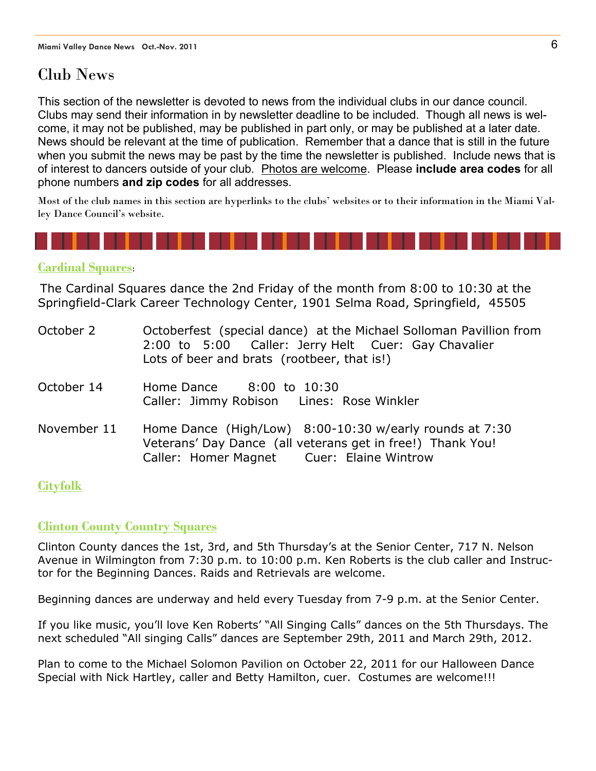## Club News

This section of the newsletter is devoted to news from the individual clubs in our dance council. Clubs may send their information in by newsletter deadline to be included. Though all news is welcome, it may not be published, may be published in part only, or may be published at a later date. News should be relevant at the time of publication. Remember that a dance that is still in the future when you submit the news may be past by the time the newsletter is published. Include news that is of interest to dancers outside of your club. Photos are welcome. Please **include area codes** for all phone numbers **and zip codes** for all addresses.

Most of the club names in this section are hyperlinks to the clubs' websites or to their information in the Miami Valley Dance Council's website.



#### **[Cardinal Squares](http://miamivalleydancecouncil.org/clubs/cardinal.htm)**:

The Cardinal Squares dance the 2nd Friday of the month from 8:00 to 10:30 at the Springfield-Clark Career Technology Center, 1901 Selma Road, Springfield, 45505

| October 2  |            | Octoberfest (special dance) at the Michael Solloman Pavillion from<br>2:00 to 5:00 Caller: Jerry Helt Cuer: Gay Chavalier<br>Lots of beer and brats (rootbeer, that is!) |
|------------|------------|--------------------------------------------------------------------------------------------------------------------------------------------------------------------------|
| October 14 | Home Dance | 8:00 to 10:30                                                                                                                                                            |

- Caller: Jimmy Robison Lines: Rose Winkler
- November 11 Home Dance (High/Low) 8:00-10:30 w/early rounds at 7:30 Veterans' Day Dance (all veterans get in free!) Thank You! Caller: Homer Magnet Cuer: Elaine Wintrow

#### **[Cityfolk](http://www.cityfolk.org/socialDance.htm)**

#### **[Clinton County Country Squares](http://www.miamivalleydancecouncil.org/clubs/clintonCounty.htm)**

Clinton County dances the 1st, 3rd, and 5th Thursday's at the Senior Center, 717 N. Nelson Avenue in Wilmington from 7:30 p.m. to 10:00 p.m. Ken Roberts is the club caller and Instructor for the Beginning Dances. Raids and Retrievals are welcome.

Beginning dances are underway and held every Tuesday from 7-9 p.m. at the Senior Center.

If you like music, you'll love Ken Roberts' "All Singing Calls" dances on the 5th Thursdays. The next scheduled "All singing Calls" dances are September 29th, 2011 and March 29th, 2012.

Plan to come to the Michael Solomon Pavilion on October 22, 2011 for our Halloween Dance Special with Nick Hartley, caller and Betty Hamilton, cuer. Costumes are welcome!!!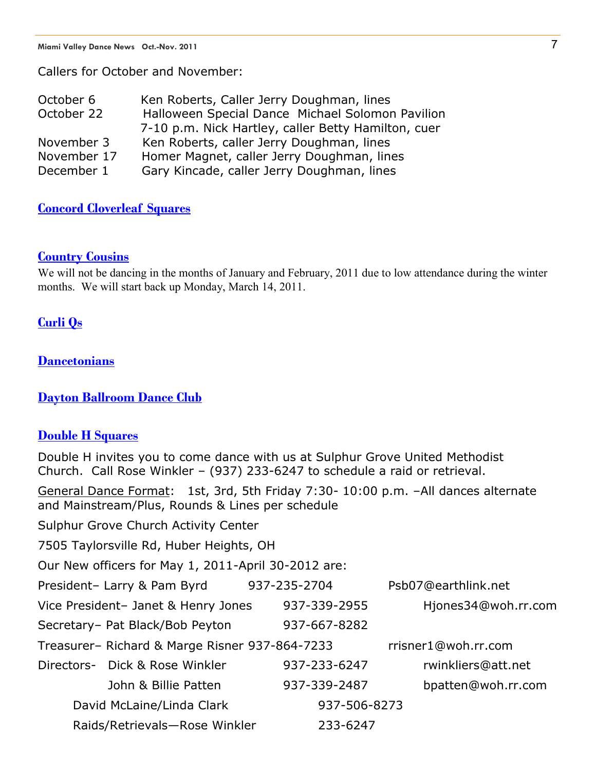Callers for October and November:

| October 6   | Ken Roberts, Caller Jerry Doughman, lines           |
|-------------|-----------------------------------------------------|
| October 22  | Halloween Special Dance Michael Solomon Pavilion    |
|             | 7-10 p.m. Nick Hartley, caller Betty Hamilton, cuer |
| November 3  | Ken Roberts, caller Jerry Doughman, lines           |
| November 17 | Homer Magnet, caller Jerry Doughman, lines          |
| December 1  | Gary Kincade, caller Jerry Doughman, lines          |

#### **[Concord Cloverleaf Squares](http://www.miamivalleydancecouncil.org/clubs/cloverleaf.htm)**

#### **[Country Cousins](http://www.miamivalleydancecouncil.org/clubs/countryCousins.htm)**

We will not be dancing in the months of January and February, 2011 due to low attendance during the winter months. We will start back up Monday, March 14, 2011.

#### **[Curli Qs](http://www.miamivalleydancecouncil.org/clubs/curliQ.htm)**

**Dancetonians** 

#### **[Dayton Ballroom Dance Club](http://www.daytonballroom.org/)**

#### **[Double H Squares](http://www.miamivalleydancecouncil.org/clubs/doubleH.htm)**

Double H invites you to come dance with us at Sulphur Grove United Methodist Church. Call Rose Winkler – (937) 233-6247 to schedule a raid or retrieval. General Dance Format: 1st, 3rd, 5th Friday 7:30- 10:00 p.m. –All dances alternate and Mainstream/Plus, Rounds & Lines per schedule Sulphur Grove Church Activity Center 7505 Taylorsville Rd, Huber Heights, OH Our New officers for May 1, 2011-April 30-2012 are: President- Larry & Pam Byrd 937-235-2704 Psb07@earthlink.net Vice President- Janet & Henry Jones 937-339-2955 Hiones34@woh.rr.com Secretary– Pat Black/Bob Peyton 937-667-8282 Treasurer– Richard & Marge Risner 937-864-7233 rrisner1@woh.rr.com Directors- Dick & Rose Winkler 937-233-6247 rwinkliers@att.net John & Billie Patten 937-339-2487 bpatten@woh.rr.com David McLaine/Linda Clark 937-506-8273 Raids/Retrievals—Rose Winkler 233-6247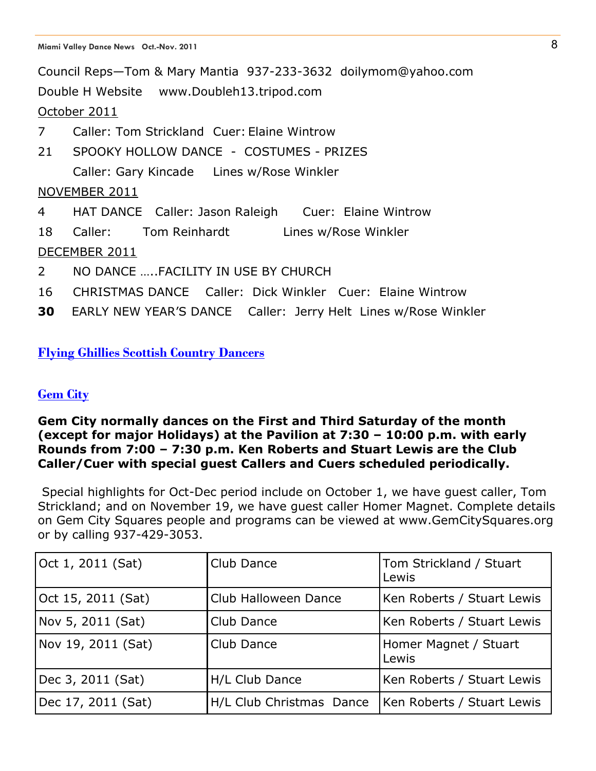Council Reps—Tom & Mary Mantia 937-233-3632 doilymom@yahoo.com Double H Website www.Doubleh13.tripod.com October 2011 7 Caller: Tom Strickland Cuer: Elaine Wintrow 21 SPOOKY HOLLOW DANCE - COSTUMES - PRIZES Caller: Gary Kincade Lines w/Rose Winkler NOVEMBER 2011 4 HAT DANCE Caller: Jason Raleigh Cuer: Elaine Wintrow 18 Caller: Tom Reinhardt Lines w/Rose Winkler DECEMBER 2011 2 NO DANCE …..FACILITY IN USE BY CHURCH 16 CHRISTMAS DANCE Caller: Dick Winkler Cuer: Elaine Wintrow

**30** EARLY NEW YEAR'S DANCE Caller: Jerry Helt Lines w/Rose Winkler

#### **[Flying Ghillies Scottish Country Dancers](http://www.miamivalleydancecouncil.org/clubs/flying.htm)**

#### **Gem City**

#### **Gem City normally dances on the First and Third Saturday of the month (except for major Holidays) at the Pavilion at 7:30 – 10:00 p.m. with early Rounds from 7:00 – 7:30 p.m. Ken Roberts and Stuart Lewis are the Club Caller/Cuer with special guest Callers and Cuers scheduled periodically.**

Special highlights for Oct-Dec period include on October 1, we have guest caller, Tom Strickland; and on November 19, we have guest caller Homer Magnet. Complete details on Gem City Squares people and programs can be viewed at www.GemCitySquares.org or by calling 937-429-3053.

| Oct 1, 2011 (Sat)  | Club Dance               | Tom Strickland / Stuart<br>Lewis |
|--------------------|--------------------------|----------------------------------|
| Oct 15, 2011 (Sat) | Club Halloween Dance     | Ken Roberts / Stuart Lewis       |
| Nov 5, 2011 (Sat)  | Club Dance               | Ken Roberts / Stuart Lewis       |
| Nov 19, 2011 (Sat) | Club Dance               | Homer Magnet / Stuart<br>Lewis   |
| Dec 3, 2011 (Sat)  | H/L Club Dance           | Ken Roberts / Stuart Lewis       |
| Dec 17, 2011 (Sat) | H/L Club Christmas Dance | Ken Roberts / Stuart Lewis       |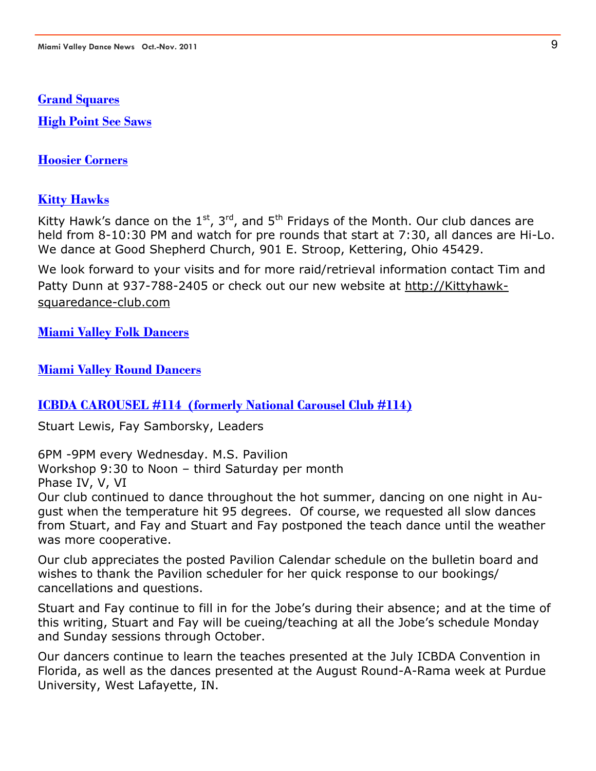#### **[Grand Squares](http://miamivalleydancecouncil.org/clubs/grandSquares.htm)**

**[High Point See Saws](http://miamivalleydancecouncil.org/clubs/Hi-Point.htm)**

**[Hoosier Corners](http://www.sharpsites.net/hoosiercorners/index.html)**

#### **[Kitty Hawks](http://www.miamivalleydancecouncil.org/clubs/kittyhawk.htm)**

Kitty Hawk's dance on the  $1^{st}$ ,  $3^{rd}$ , and  $5^{th}$  Fridays of the Month. Our club dances are held from 8-10:30 PM and watch for pre rounds that start at 7:30, all dances are Hi-Lo. We dance at Good Shepherd Church, 901 E. Stroop, Kettering, Ohio 45429.

We look forward to your visits and for more raid/retrieval information contact Tim and Patty Dunn at 937-788-2405 or check out our new website at http://Kittyhawksquaredance-club.com

**[Miami Valley Folk Dancers](http://www.miamivalleydancecouncil.org/clubs/folk.htm)**

#### **[Miami Valley Round Dancers](http://miamivalleydancecouncil.org/clubs/round.htm)**

#### **ICBDA CAROUSEL #114 (formerly National Carousel Club #114)**

Stuart Lewis, Fay Samborsky, Leaders

6PM -9PM every Wednesday. M.S. Pavilion

Workshop 9:30 to Noon – third Saturday per month Phase IV, V, VI

Our club continued to dance throughout the hot summer, dancing on one night in August when the temperature hit 95 degrees. Of course, we requested all slow dances from Stuart, and Fay and Stuart and Fay postponed the teach dance until the weather was more cooperative.

Our club appreciates the posted Pavilion Calendar schedule on the bulletin board and wishes to thank the Pavilion scheduler for her quick response to our bookings/ cancellations and questions.

Stuart and Fay continue to fill in for the Jobe's during their absence; and at the time of this writing, Stuart and Fay will be cueing/teaching at all the Jobe's schedule Monday and Sunday sessions through October.

Our dancers continue to learn the teaches presented at the July ICBDA Convention in Florida, as well as the dances presented at the August Round-A-Rama week at Purdue University, West Lafayette, IN.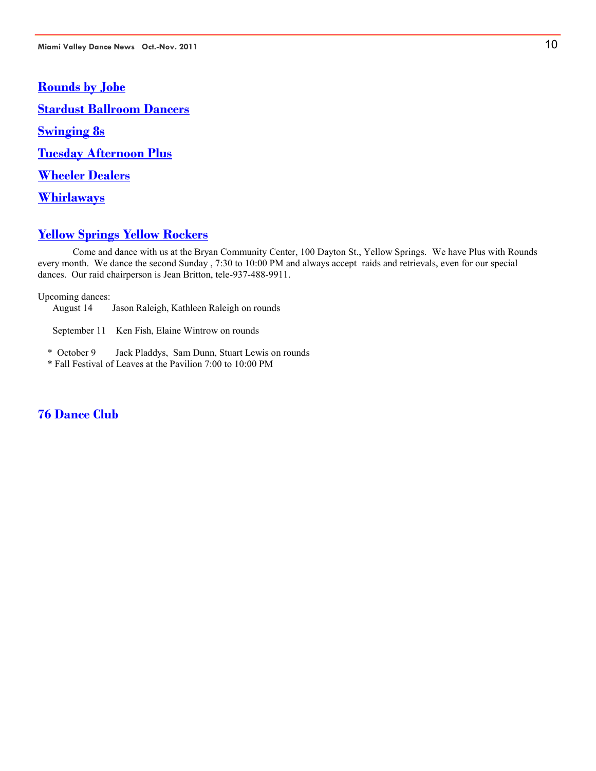**[Rounds by Jobe](http://www.miamivalleydancecouncil.org/clubs/jobeM.htm) [Stardust Ballroom Dancers](http://www.miamivalleydancecouncil.org/clubs/stardust.htm) [Swinging 8s](http://www.miamivalleydancecouncil.org/clubs/swinging8.htm) [Tuesday Afternoon Plus](http://www.miamivalleydancecouncil.org/clubs/tuesday.htm) [Wheeler Dealers](http://www.miamivalleydancecouncil.org/clubs/wheeler.htm) [Whirlaways](http://www.miamivalleydancecouncil.org/clubs/whirlaways.htm)**

#### **[Yellow Springs Yellow Rockers](http://www.miamivalleydancecouncil.org/clubs/yellowRockers.htm)**

 Come and dance with us at the Bryan Community Center, 100 Dayton St., Yellow Springs. We have Plus with Rounds every month. We dance the second Sunday , 7:30 to 10:00 PM and always accept raids and retrievals, even for our special dances. Our raid chairperson is Jean Britton, tele-937-488-9911.

Upcoming dances:

August 14 Jason Raleigh, Kathleen Raleigh on rounds

September 11 Ken Fish, Elaine Wintrow on rounds

- \* October 9 Jack Pladdys, Sam Dunn, Stuart Lewis on rounds
- \* Fall Festival of Leaves at the Pavilion 7:00 to 10:00 PM

#### **76 Dance Club**